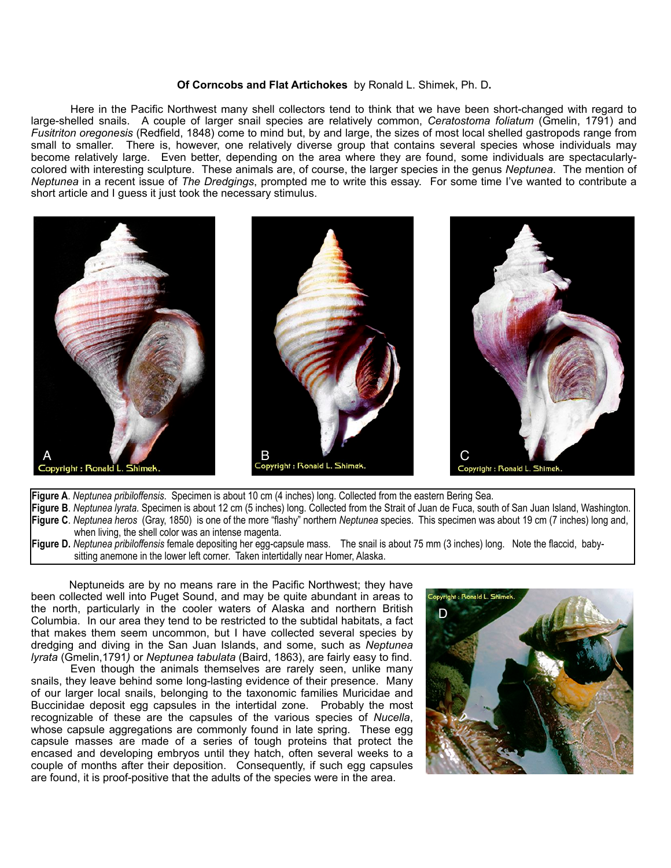## **Of Corncobs and Flat Artichokes** by Ronald L. Shimek, Ph. D**.**

 Here in the Pacific Northwest many shell collectors tend to think that we have been short-changed with regard to large-shelled snails. A couple of larger snail species are relatively common, *Ceratostoma foliatum* (Gmelin, 1791) and *Fusitriton oregonesis* (Redfield, 1848) come to mind but, by and large, the sizes of most local shelled gastropods range from small to smaller. There is, however, one relatively diverse group that contains several species whose individuals may become relatively large. Even better, depending on the area where they are found, some individuals are spectacularlycolored with interesting sculpture. These animals are, of course, the larger species in the genus *Neptunea*. The mention of *Neptunea* in a recent issue of *The Dredgings*, prompted me to write this essay. For some time I've wanted to contribute a short article and I guess it just took the necessary stimulus.



**Figure A**. *Neptunea pribiloffensis*. Specimen is about 10 cm (4 inches) long. Collected from the eastern Bering Sea. **Figure B**. *Neptunea lyrata*. Specimen is about 12 cm (5 inches) long. Collected from the Strait of Juan de Fuca, south of San Juan Island, Washington. **Figure C**. *Neptunea heros* (Gray, 1850) is one of the more "flashy" northern *Neptunea* species. This specimen was about 19 cm (7 inches) long and, when living, the shell color was an intense magenta.

**Figure D.** *Neptunea pribiloffensis* female depositing her egg-capsule mass. The snail is about 75 mm (3 inches) long. Note the flaccid, baby sitting anemone in the lower left corner. Taken intertidally near Homer, Alaska.

 Neptuneids are by no means rare in the Pacific Northwest; they have been collected well into Puget Sound, and may be quite abundant in areas to the north, particularly in the cooler waters of Alaska and northern British Columbia. In our area they tend to be restricted to the subtidal habitats, a fact that makes them seem uncommon, but I have collected several species by dredging and diving in the San Juan Islands, and some, such as *Neptunea lyrata* (Gmelin,1791*)* or *Neptunea tabulata* (Baird, 1863), are fairly easy to find.

 Even though the animals themselves are rarely seen, unlike many snails, they leave behind some long-lasting evidence of their presence. Many of our larger local snails, belonging to the taxonomic families Muricidae and Buccinidae deposit egg capsules in the intertidal zone. Probably the most recognizable of these are the capsules of the various species of *Nucella*, whose capsule aggregations are commonly found in late spring. These egg capsule masses are made of a series of tough proteins that protect the encased and developing embryos until they hatch, often several weeks to a couple of months after their deposition. Consequently, if such egg capsules are found, it is proof-positive that the adults of the species were in the area.

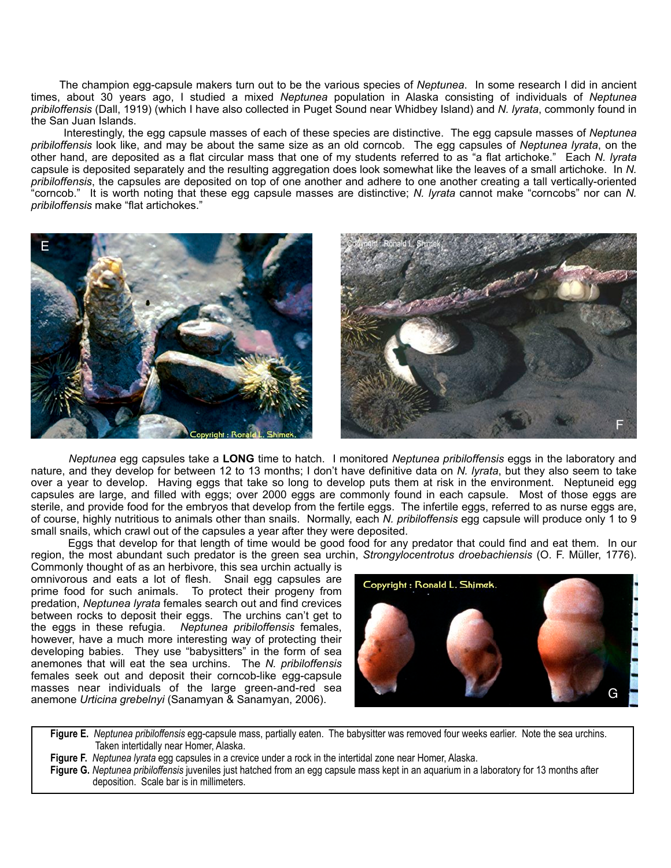The champion egg-capsule makers turn out to be the various species of *Neptunea*. In some research I did in ancient times, about 30 years ago, I studied a mixed *Neptunea* population in Alaska consisting of individuals of *Neptunea pribiloffensis* (Dall, 1919) (which I have also collected in Puget Sound near Whidbey Island) and *N. lyrata*, commonly found in the San Juan Islands.

 Interestingly, the egg capsule masses of each of these species are distinctive. The egg capsule masses of *Neptunea pribiloffensis* look like, and may be about the same size as an old corncob. The egg capsules of *Neptunea lyrata*, on the other hand, are deposited as a flat circular mass that one of my students referred to as "a flat artichoke." Each *N. lyrata* capsule is deposited separately and the resulting aggregation does look somewhat like the leaves of a small artichoke. In *N. pribiloffensis*, the capsules are deposited on top of one another and adhere to one another creating a tall vertically-oriented "corncob." It is worth noting that these egg capsule masses are distinctive; *N. lyrata* cannot make "corncobs" nor can *N. pribiloffensis* make "flat artichokes."



 *Neptunea* egg capsules take a **LONG** time to hatch. I monitored *Neptunea pribiloffensis* eggs in the laboratory and nature, and they develop for between 12 to 13 months; I don't have definitive data on *N. lyrata*, but they also seem to take over a year to develop. Having eggs that take so long to develop puts them at risk in the environment. Neptuneid egg capsules are large, and filled with eggs; over 2000 eggs are commonly found in each capsule. Most of those eggs are sterile, and provide food for the embryos that develop from the fertile eggs. The infertile eggs, referred to as nurse eggs are, of course, highly nutritious to animals other than snails. Normally, each *N. pribiloffensis* egg capsule will produce only 1 to 9 small snails, which crawl out of the capsules a year after they were deposited.

 Eggs that develop for that length of time would be good food for any predator that could find and eat them. In our region, the most abundant such predator is the green sea urchin, *Strongylocentrotus droebachiensis* (O. F. Müller, 1776).

Commonly thought of as an herbivore, this sea urchin actually is omnivorous and eats a lot of flesh. Snail egg capsules are prime food for such animals. To protect their progeny from predation, *Neptunea lyrata* females search out and find crevices between rocks to deposit their eggs. The urchins can't get to the eggs in these refugia. *Neptunea pribiloffensis* females, however, have a much more interesting way of protecting their developing babies. They use "babysitters" in the form of sea anemones that will eat the sea urchins. The *N. pribiloffensis*  females seek out and deposit their corncob-like egg-capsule masses near individuals of the large green-and-red sea anemone *Urticina grebelnyi* (Sanamyan & Sanamyan, 2006).



 **Figure E.** *Neptunea pribiloffensis* egg-capsule mass, partially eaten. The babysitter was removed four weeks earlier. Note the sea urchins. Taken intertidally near Homer, Alaska.

**Figure F.** *Neptunea lyrata* egg capsules in a crevice under a rock in the intertidal zone near Homer, Alaska.

 **Figure G.** *Neptunea pribiloffensis* juveniles just hatched from an egg capsule mass kept in an aquarium in a laboratory for 13 months after deposition. Scale bar is in millimeters.